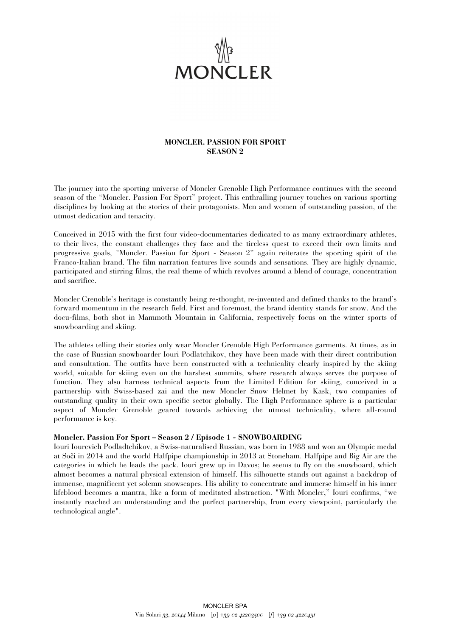

## **MONCLER. PASSION FOR SPORT SEASON 2**

The journey into the sporting universe of Moncler Grenoble High Performance continues with the second season of the "Moncler. Passion For Sport" project. This enthralling journey touches on various sporting disciplines by looking at the stories of their protagonists. Men and women of outstanding passion, of the utmost dedication and tenacity.

Conceived in 2015 with the first four video-documentaries dedicated to as many extraordinary athletes, to their lives, the constant challenges they face and the tireless quest to exceed their own limits and progressive goals, "Moncler. Passion for Sport - Season 2" again reiterates the sporting spirit of the Franco-Italian brand. The film narration features live sounds and sensations. They are highly dynamic, participated and stirring films, the real theme of which revolves around a blend of courage, concentration and sacrifice.

Moncler Grenoble's heritage is constantly being re-thought, re-invented and defined thanks to the brand's forward momentum in the research field. First and foremost, the brand identity stands for snow. And the docu-films, both shot in Mammoth Mountain in California, respectively focus on the winter sports of snowboarding and skiing.

The athletes telling their stories only wear Moncler Grenoble High Performance garments. At times, as in the case of Russian snowboarder Iouri Podlatchikov, they have been made with their direct contribution and consultation. The outfits have been constructed with a technicality clearly inspired by the skiing world, suitable for skiing even on the harshest summits, where research always serves the purpose of function. They also harness technical aspects from the Limited Edition for skiing, conceived in a partnership with Swiss-based zai and the new Moncler Snow Helmet by Kask, two companies of outstanding quality in their own specific sector globally. The High Performance sphere is a particular aspect of Moncler Grenoble geared towards achieving the utmost technicality, where all-round performance is key.

## **Moncler. Passion For Sport – Season 2 / Episode 1 - SNOWBOARDING**

Iouri Iourevich Podladtchikov, a Swiss-naturalised Russian, was born in 1988 and won an Olympic medal at Soči in 2014 and the world Halfpipe championship in 2013 at Stoneham. Halfpipe and Big Air are the categories in which he leads the pack. Iouri grew up in Davos; he seems to fly on the snowboard, which almost becomes a natural physical extension of himself. His silhouette stands out against a backdrop of immense, magnificent yet solemn snowscapes. His ability to concentrate and immerse himself in his inner lifeblood becomes a mantra, like a form of meditated abstraction. "With Moncler," Iouri confirms, "we instantly reached an understanding and the perfect partnership, from every viewpoint, particularly the technological angle".